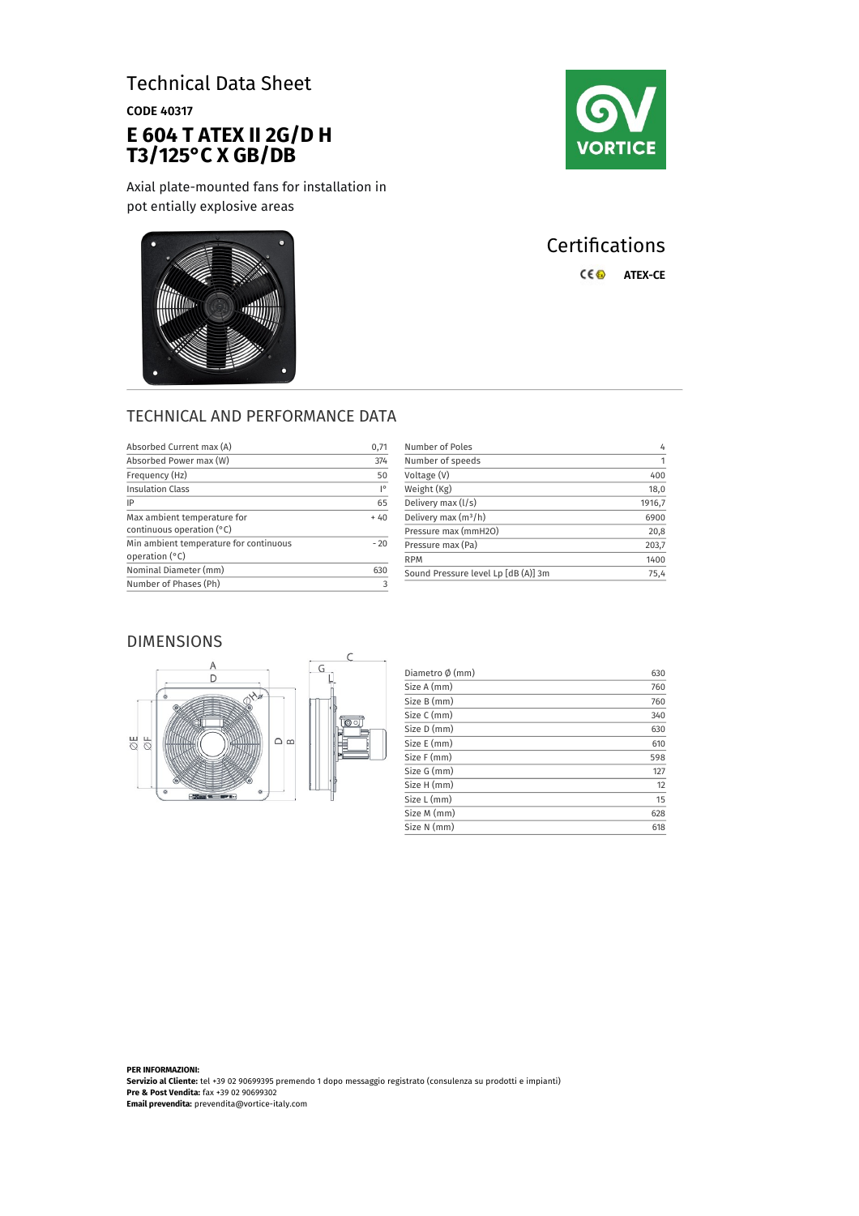# Technical Data Sheet

CODE 40317

# **E 604 T ATEX II 2G/D H T3/125°C X GB/DB**

Axial plate-mounted fans for installation in pot entially explosive areas







# **Certifications** C€<sup>®</sup> ATEX-CE

## TECHNICAL AND PERFORMANCE DATA

| Absorbed Current max (A)                                   | 0,71  |
|------------------------------------------------------------|-------|
| Absorbed Power max (W)                                     | 374   |
| Frequency (Hz)                                             | 50    |
| <b>Insulation Class</b>                                    | I۰    |
| IP                                                         | 65    |
| Max ambient temperature for<br>continuous operation $(°C)$ | $+40$ |
| Min ambient temperature for continuous<br>operation (°C)   | $-20$ |
| Nominal Diameter (mm)                                      | 630   |
| Number of Phases (Ph)                                      |       |

| Number of Poles                     | 4      |
|-------------------------------------|--------|
| Number of speeds                    | 1      |
| Voltage (V)                         | 400    |
| Weight (Kg)                         | 18,0   |
| Delivery max (I/s)                  | 1916,7 |
| Delivery max $(m^3/h)$              | 6900   |
| Pressure max (mmH2O)                | 20,8   |
| Pressure max (Pa)                   | 203,7  |
| <b>RPM</b>                          | 1400   |
| Sound Pressure level Lp [dB (A)] 3m | 75,4   |

## DIMENSIONS



| Diametro Ø (mm) | 630 |
|-----------------|-----|
| Size A (mm)     | 760 |
| Size B (mm)     | 760 |
| Size C (mm)     | 340 |
| Size D (mm)     | 630 |
| Size E (mm)     | 610 |
| Size F (mm)     | 598 |
| Size G (mm)     | 127 |
| Size H (mm)     | 12  |
| Size L (mm)     | 15  |
| Size M (mm)     | 628 |
| Size N (mm)     | 618 |

**PER INFORMAZIONI: Servizio al Cliente:** tel +39 02 90699395 premendo 1 dopo messaggio registrato (consulenza su prodotti e impianti) **Pre & Post Vendita:** fax +39 02 90699302 **Email prevendita:** prevendita@vortice-italy.com